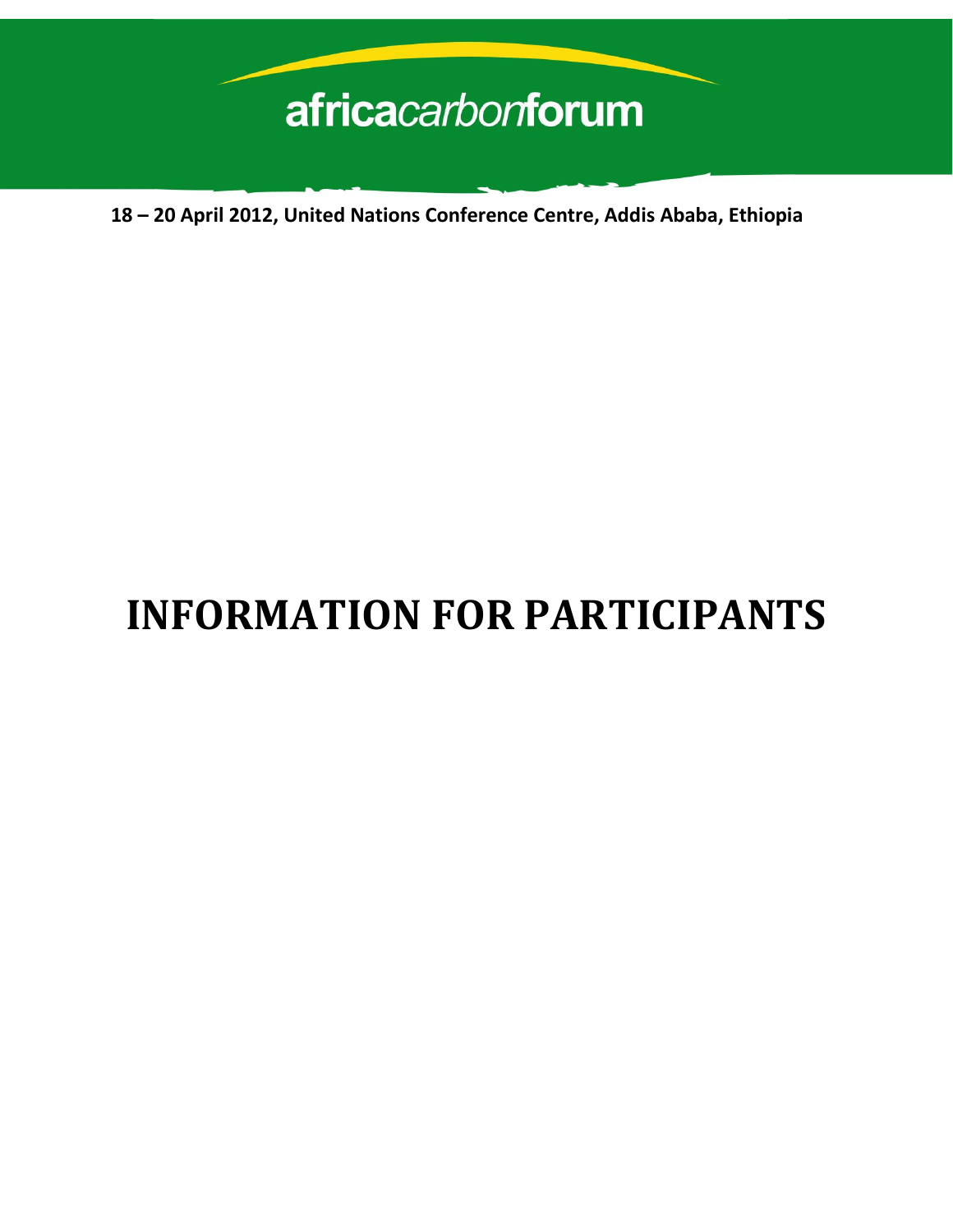# africacarbonforum

 **18 – 20 April 2012, United Nations Conference Centre, Addis Ababa, Ethiopia**

# **INFORMATION FOR PARTICIPANTS**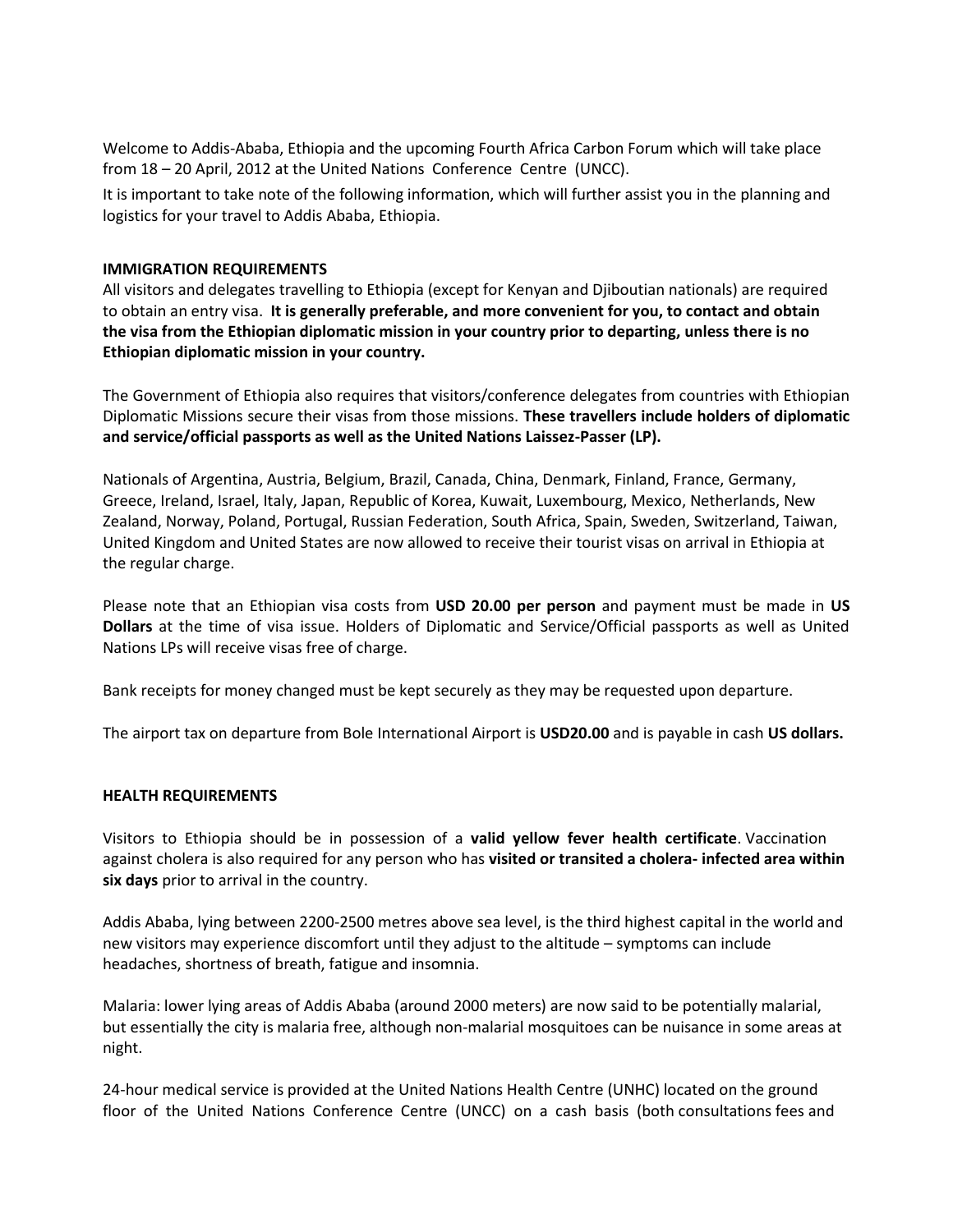Welcome to Addis-Ababa, Ethiopia and the upcoming Fourth Africa Carbon Forum which will take place from 18 – 20 April, 2012 at the United Nations Conference Centre (UNCC).

It is important to take note of the following information, which will further assist you in the planning and logistics for your travel to Addis Ababa, Ethiopia.

#### **IMMIGRATION REQUIREMENTS**

All visitors and delegates travelling to Ethiopia (except for Kenyan and Djiboutian nationals) are required to obtain an entry visa. **It is generally preferable, and more convenient for you, to contact and obtain the visa from the Ethiopian diplomatic mission in your country prior to departing, unless there is no Ethiopian diplomatic mission in your country.**

The Government of Ethiopia also requires that visitors/conference delegates from countries with Ethiopian Diplomatic Missions secure their visas from those missions. **These travellers include holders of diplomatic and service/official passports as well as the United Nations Laissez-Passer (LP).** 

Nationals of Argentina, Austria, Belgium, Brazil, Canada, China, Denmark, Finland, France, Germany, Greece, Ireland, Israel, Italy, Japan, Republic of Korea, Kuwait, Luxembourg, Mexico, Netherlands, New Zealand, Norway, Poland, Portugal, Russian Federation, South Africa, Spain, Sweden, Switzerland, Taiwan, United Kingdom and United States are now allowed to receive their tourist visas on arrival in Ethiopia at the regular charge.

Please note that an Ethiopian visa costs from **USD 20.00 per person** and payment must be made in **US Dollars** at the time of visa issue. Holders of Diplomatic and Service/Official passports as well as United Nations LPs will receive visas free of charge.

Bank receipts for money changed must be kept securely as they may be requested upon departure.

The airport tax on departure from Bole International Airport is **USD20.00** and is payable in cash **US dollars.**

#### **HEALTH REQUIREMENTS**

Visitors to Ethiopia should be in possession of a **valid yellow fever health certificate**. Vaccination against cholera is also required for any person who has **visited or transited a cholera- infected area within six days** prior to arrival in the country.

Addis Ababa, lying between 2200-2500 metres above sea level, is the third highest capital in the world and new visitors may experience discomfort until they adjust to the altitude – symptoms can include headaches, shortness of breath, fatigue and insomnia.

Malaria: lower lying areas of Addis Ababa (around 2000 meters) are now said to be potentially malarial, but essentially the city is malaria free, although non-malarial mosquitoes can be nuisance in some areas at night.

24-hour medical service is provided at the United Nations Health Centre (UNHC) located on the ground floor of the United Nations Conference Centre (UNCC) on a cash basis (both consultations fees and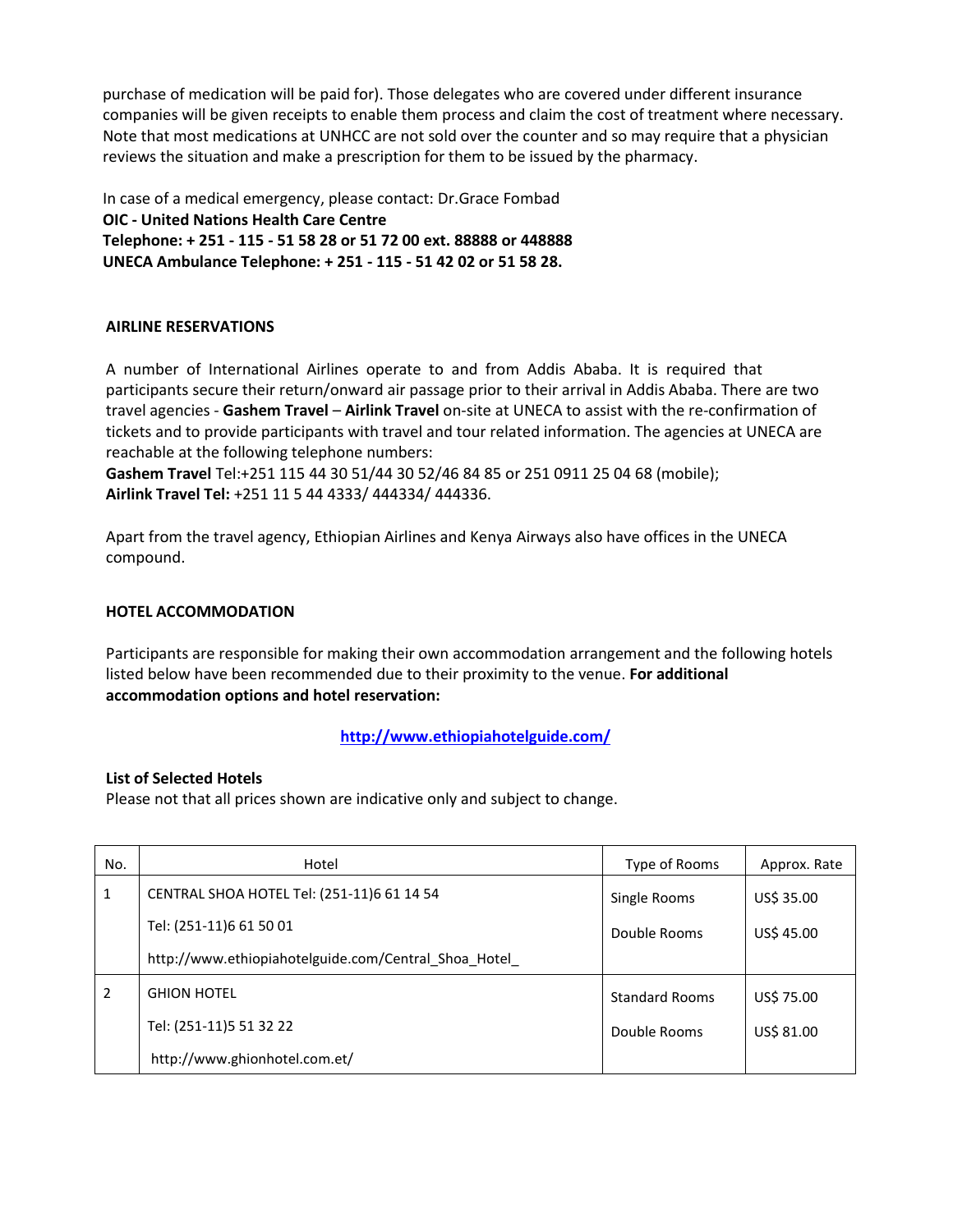purchase of medication will be paid for). Those delegates who are covered under different insurance companies will be given receipts to enable them process and claim the cost of treatment where necessary. Note that most medications at UNHCC are not sold over the counter and so may require that a physician reviews the situation and make a prescription for them to be issued by the pharmacy.

In case of a medical emergency, please contact: Dr.Grace Fombad **OIC - United Nations Health Care Centre Telephone: + 251 - 115 - 51 58 28 or 51 72 00 ext. 88888 or 448888 UNECA Ambulance Telephone: + 251 - 115 - 51 42 02 or 51 58 28.**

# **AIRLINE RESERVATIONS**

A number of International Airlines operate to and from Addis Ababa. It is required that participants secure their return/onward air passage prior to their arrival in Addis Ababa. There are two travel agencies - **Gashem Travel** – **Airlink Travel** on-site at UNECA to assist with the re-confirmation of tickets and to provide participants with travel and tour related information. The agencies at UNECA are reachable at the following telephone numbers:

**Gashem Travel** Tel:+251 115 44 30 51/44 30 52/46 84 85 or 251 0911 25 04 68 (mobile); **Airlink Travel Tel:** +251 11 5 44 4333/ 444334/ 444336.

Apart from the travel agency, Ethiopian Airlines and Kenya Airways also have offices in the UNECA compound.

# **HOTEL ACCOMMODATION**

Participants are responsible for making their own accommodation arrangement and the following hotels listed below have been recommended due to their proximity to the venue. **For additional accommodation options and hotel reservation:**

**<http://www.ethiopiahotelguide.com/>**

# **List of Selected Hotels**

Please not that all prices shown are indicative only and subject to change.

| No. | Hotel                                                | Type of Rooms         | Approx. Rate |
|-----|------------------------------------------------------|-----------------------|--------------|
| 1   | CENTRAL SHOA HOTEL Tel: (251-11)6 61 14 54           | Single Rooms          | US\$ 35.00   |
|     | Tel: (251-11)6 61 50 01                              | Double Rooms          | US\$ 45.00   |
|     | http://www.ethiopiahotelguide.com/Central Shoa Hotel |                       |              |
| 2   | <b>GHION HOTEL</b>                                   | <b>Standard Rooms</b> | US\$ 75.00   |
|     | Tel: (251-11)5 51 32 22                              | Double Rooms          | US\$ 81.00   |
|     | http://www.ghionhotel.com.et/                        |                       |              |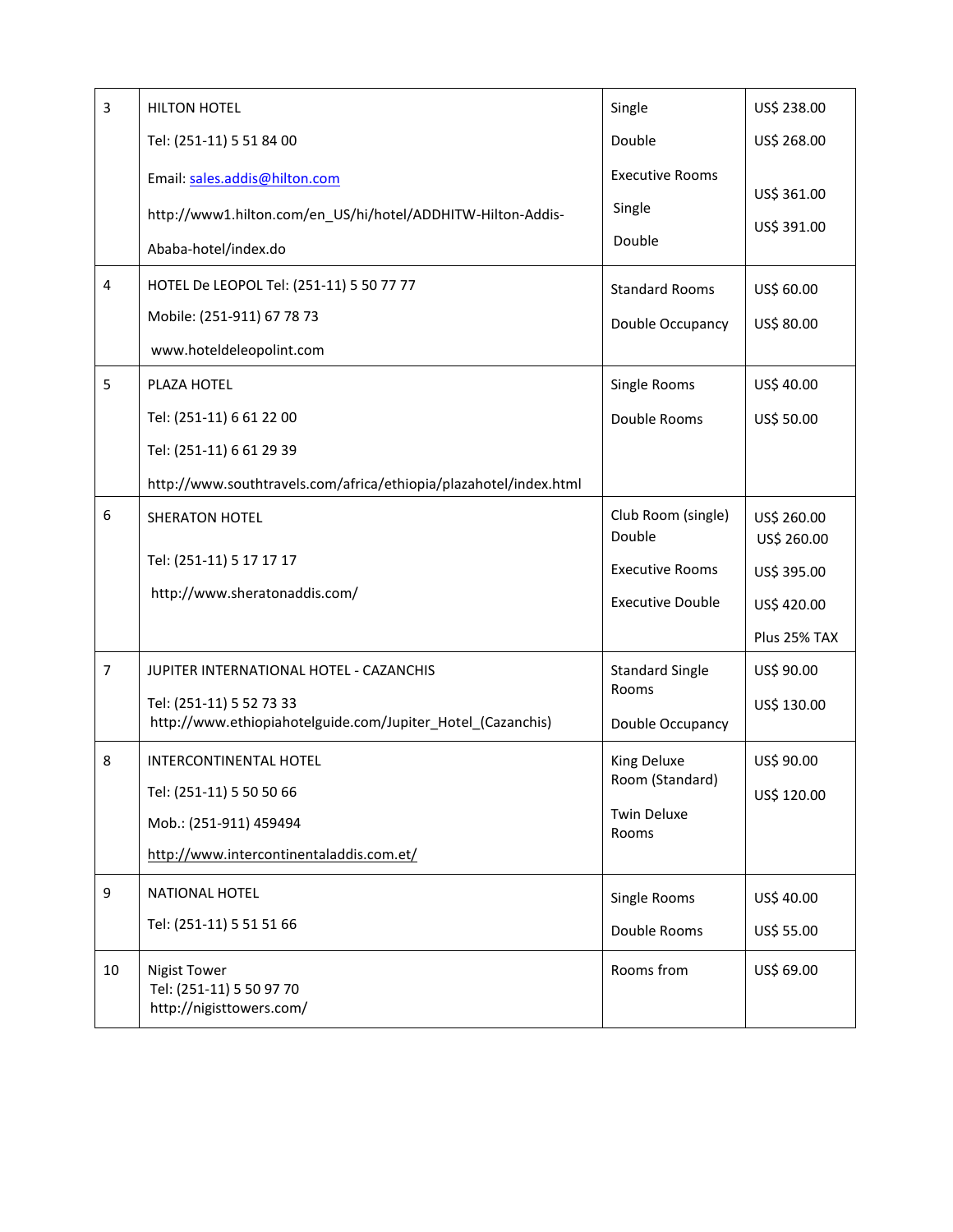| $\overline{3}$ | <b>HILTON HOTEL</b>                                                                                                                      | Single                                                                            | US\$ 238.00                                                              |
|----------------|------------------------------------------------------------------------------------------------------------------------------------------|-----------------------------------------------------------------------------------|--------------------------------------------------------------------------|
|                | Tel: (251-11) 5 51 84 00                                                                                                                 | Double                                                                            | US\$ 268.00                                                              |
|                | Email: sales.addis@hilton.com<br>http://www1.hilton.com/en_US/hi/hotel/ADDHITW-Hilton-Addis-<br>Ababa-hotel/index.do                     | <b>Executive Rooms</b><br>Single<br>Double                                        | US\$ 361.00<br>US\$ 391.00                                               |
| $\overline{4}$ | HOTEL De LEOPOL Tel: (251-11) 5 50 77 77<br>Mobile: (251-911) 67 78 73<br>www.hoteldeleopolint.com                                       | <b>Standard Rooms</b><br>Double Occupancy                                         | US\$ 60.00<br>US\$ 80.00                                                 |
| 5              | PLAZA HOTEL<br>Tel: (251-11) 6 61 22 00<br>Tel: (251-11) 6 61 29 39<br>http://www.southtravels.com/africa/ethiopia/plazahotel/index.html | Single Rooms<br>Double Rooms                                                      | US\$ 40.00<br>US\$ 50.00                                                 |
| 6              | SHERATON HOTEL<br>Tel: (251-11) 5 17 17 17<br>http://www.sheratonaddis.com/                                                              | Club Room (single)<br>Double<br><b>Executive Rooms</b><br><b>Executive Double</b> | US\$ 260.00<br>US\$ 260.00<br>US\$ 395.00<br>US\$ 420.00<br>Plus 25% TAX |
| $\overline{7}$ | JUPITER INTERNATIONAL HOTEL - CAZANCHIS<br>Tel: (251-11) 5 52 73 33<br>http://www.ethiopiahotelguide.com/Jupiter_Hotel_(Cazanchis)       | <b>Standard Single</b><br>Rooms<br>Double Occupancy                               | US\$ 90.00<br>US\$ 130.00                                                |
| 8              | <b>INTERCONTINENTAL HOTEL</b><br>Tel: (251-11) 5 50 50 66<br>Mob.: (251-911) 459494<br>http://www.intercontinentaladdis.com.et/          | King Deluxe<br>Room (Standard)<br><b>Twin Deluxe</b><br>Rooms                     | US\$ 90.00<br>US\$ 120.00                                                |
| 9              | NATIONAL HOTEL<br>Tel: (251-11) 5 51 51 66                                                                                               | Single Rooms<br>Double Rooms                                                      | US\$ 40.00<br>US\$ 55.00                                                 |
| 10             | <b>Nigist Tower</b><br>Tel: (251-11) 5 50 97 70<br>http://nigisttowers.com/                                                              | Rooms from                                                                        | US\$ 69.00                                                               |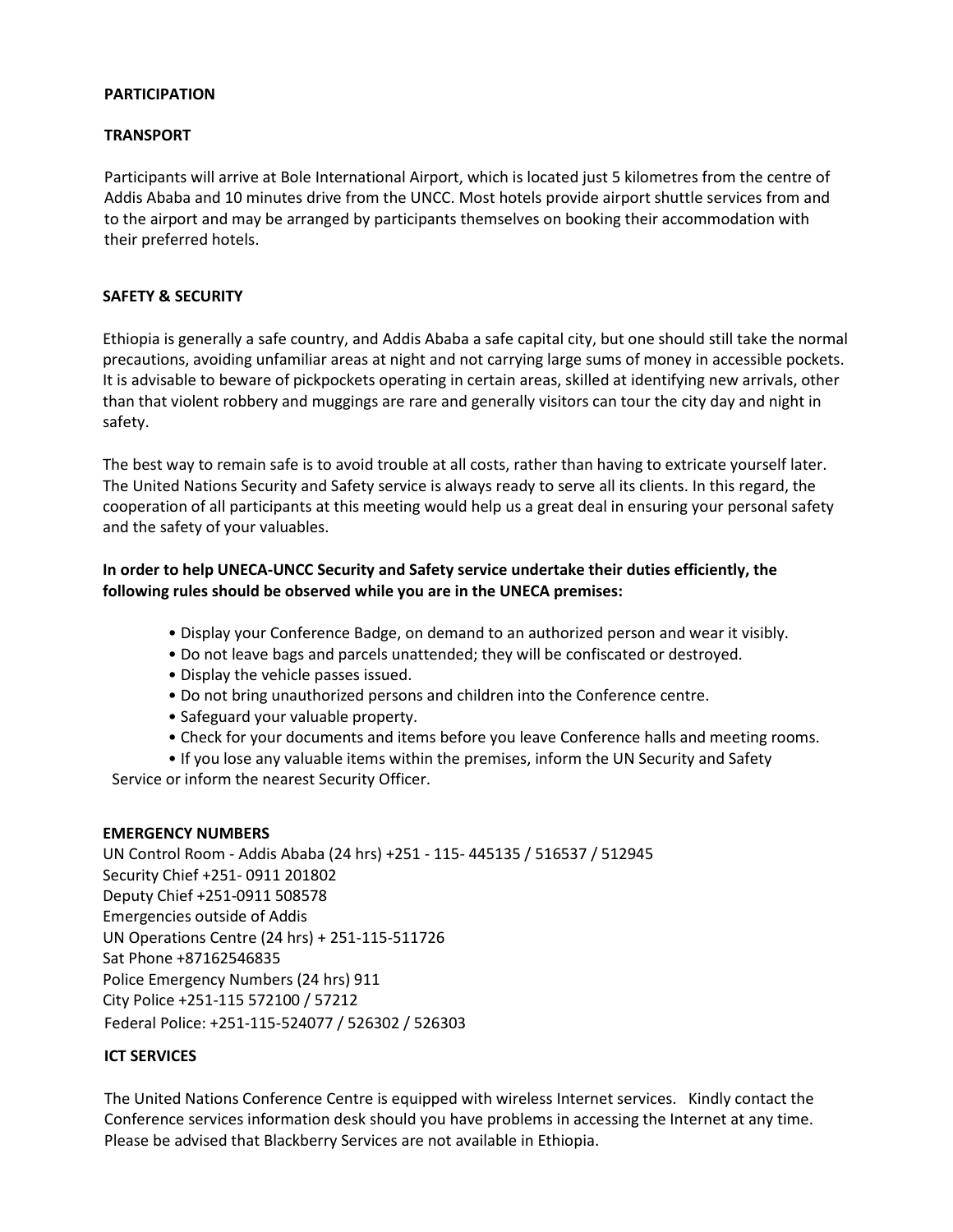# **PARTICIPATION**

## **TRANSPORT**

Participants will arrive at Bole International Airport, which is located just 5 kilometres from the centre of Addis Ababa and 10 minutes drive from the UNCC. Most hotels provide airport shuttle services from and to the airport and may be arranged by participants themselves on booking their accommodation with their preferred hotels.

#### **SAFETY & SECURITY**

Ethiopia is generally a safe country, and Addis Ababa a safe capital city, but one should still take the normal precautions, avoiding unfamiliar areas at night and not carrying large sums of money in accessible pockets. It is advisable to beware of pickpockets operating in certain areas, skilled at identifying new arrivals, other than that violent robbery and muggings are rare and generally visitors can tour the city day and night in safety.

The best way to remain safe is to avoid trouble at all costs, rather than having to extricate yourself later. The United Nations Security and Safety service is always ready to serve all its clients. In this regard, the cooperation of all participants at this meeting would help us a great deal in ensuring your personal safety and the safety of your valuables.

# **In order to help UNECA-UNCC Security and Safety service undertake their duties efficiently, the following rules should be observed while you are in the UNECA premises:**

- Display your Conference Badge, on demand to an authorized person and wear it visibly.
- Do not leave bags and parcels unattended; they will be confiscated or destroyed.
- Display the vehicle passes issued.
- Do not bring unauthorized persons and children into the Conference centre.
- Safeguard your valuable property.
- Check for your documents and items before you leave Conference halls and meeting rooms.
- If you lose any valuable items within the premises, inform the UN Security and Safety

Service or inform the nearest Security Officer.

# **EMERGENCY NUMBERS**

UN Control Room - Addis Ababa (24 hrs) +251 - 115- 445135 / 516537 / 512945 Security Chief +251- 0911 201802 Deputy Chief +251-0911 508578 Emergencies outside of Addis UN Operations Centre (24 hrs) + 251-115-511726 Sat Phone +87162546835 Police Emergency Numbers (24 hrs) 911 City Police +251-115 572100 / 57212 Federal Police: +251-115-524077 / 526302 / 526303

# **ICT SERVICES**

The United Nations Conference Centre is equipped with wireless Internet services. Kindly contact the Conference services information desk should you have problems in accessing the Internet at any time. Please be advised that Blackberry Services are not available in Ethiopia.